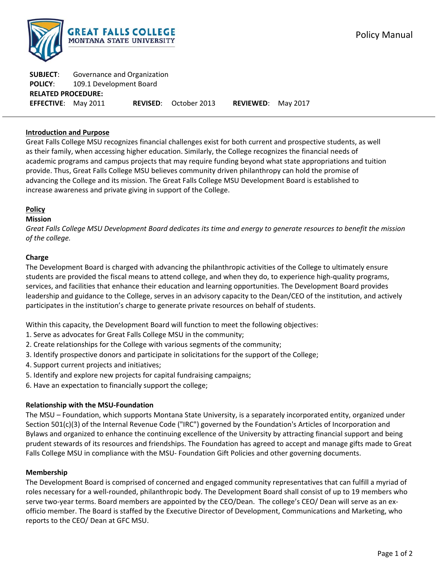

| <b>SUBJECT:</b>            | Governance and Organization |  |                              |                           |  |
|----------------------------|-----------------------------|--|------------------------------|---------------------------|--|
| <b>POLICY:</b>             | 109.1 Development Board     |  |                              |                           |  |
| <b>RELATED PROCEDURE:</b>  |                             |  |                              |                           |  |
| <b>EFFECTIVE:</b> May 2011 |                             |  | <b>REVISED:</b> October 2013 | <b>REVIEWED:</b> May 2017 |  |

# **Introduction and Purpose**

Great Falls College MSU recognizes financial challenges exist for both current and prospective students, as well as their family, when accessing higher education. Similarly, the College recognizes the financial needs of academic programs and campus projects that may require funding beyond what state appropriations and tuition provide. Thus, Great Falls College MSU believes community driven philanthropy can hold the promise of advancing the College and its mission. The Great Falls College MSU Development Board is established to increase awareness and private giving in support of the College.

## **Policy**

## **Mission**

Great Falls College MSU Development Board dedicates its time and energy to generate resources to benefit the mission *of the college.*

## **Charge**

The Development Board is charged with advancing the philanthropic activities of the College to ultimately ensure students are provided the fiscal means to attend college, and when they do, to experience high-quality programs, services, and facilities that enhance their education and learning opportunities. The Development Board provides leadership and guidance to the College, serves in an advisory capacity to the Dean/CEO of the institution, and actively participates in the institution's charge to generate private resources on behalf of students.

Within this capacity, the Development Board will function to meet the following objectives:

- 1. Serve as advocates for Great Falls College MSU in the community;
- 2. Create relationships for the College with various segments of the community;
- 3. Identify prospective donors and participate in solicitations for the support of the College;
- 4. Support current projects and initiatives;
- 5. Identify and explore new projects for capital fundraising campaigns;
- 6. Have an expectation to financially support the college;

#### **Relationship with the MSU‐Foundation**

The MSU – Foundation, which supports Montana State University, is a separately incorporated entity, organized under Section 501(c)(3) of the Internal Revenue Code ("IRC") governed by the Foundation's Articles of Incorporation and Bylaws and organized to enhance the continuing excellence of the University by attracting financial support and being prudent stewards of its resources and friendships. The Foundation has agreed to accept and manage gifts made to Great Falls College MSU in compliance with the MSU- Foundation Gift Policies and other governing documents.

#### **Membership**

The Development Board is comprised of concerned and engaged community representatives that can fulfill a myriad of roles necessary for a well‐rounded, philanthropic body. The Development Board shall consist of up to 19 members who serve two-year terms. Board members are appointed by the CEO/Dean. The college's CEO/ Dean will serve as an exofficio member. The Board is staffed by the Executive Director of Development, Communications and Marketing, who reports to the CEO/ Dean at GFC MSU.